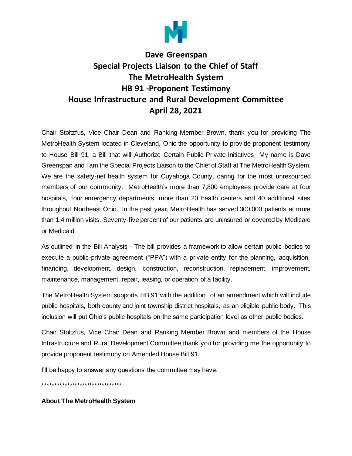

## **Dave Greenspan Special Projects Liaison to the Chief of Staff The MetroHealth System HB 91 -Proponent Testimony House Infrastructure and Rural Development Committee April 28, 2021**

Chair Stoltzfus, Vice Chair Dean and Ranking Member Brown, thank you for providing The MetroHealth System located in Cleveland, Ohio the opportunity to provide proponent testimony to House Bill 91, a Bill that will Authorize Certain Public-Private Initiatives My name is Dave Greenspan and I am the Special Projects Liaison to the Chief of Staff at The MetroHealth System. We are the safety-net health system for Cuyahoga County, caring for the most unresourced members of our community. MetroHealth's more than 7,800 employees provide care at four hospitals, four emergency departments, more than 20 health centers and 40 additional sites throughout Northeast Ohio. In the past year, MetroHealth has served 300,000 patients at more than 1.4 million visits. Seventy-five percent of our patients are uninsured or covered by Medicare or Medicaid.

As outlined in the Bill Analysis - The bill provides a framework to allow certain public bodies to execute a public-private agreement ("PPA") with a private entity for the planning, acquisition, financing, development, design, construction, reconstruction, replacement, improvement, maintenance, management, repair, leasing, or operation of a facility.

The MetroHealth System supports HB 91 with the addition of an amendment which will include public hospitals, both county and joint township district hospitals, as an eligible public body. This inclusion will put Ohio's public hospitals on the same participation level as other public bodies.

Chair Stoltzfus, Vice Chair Dean and Ranking Member Brown and members of the House Infrastructure and Rural Development Committee thank you for providing me the opportunity to provide proponent testimony on Amended House Bill 91.

I'll be happy to answer any questions the committee may have.

\*\*\*\*\*\*\*\*\*\*\*\*\*\*\*\*\*\*\*\*\*\*\*\*\*\*\*\*\*\*\*\*

**About The MetroHealth System**